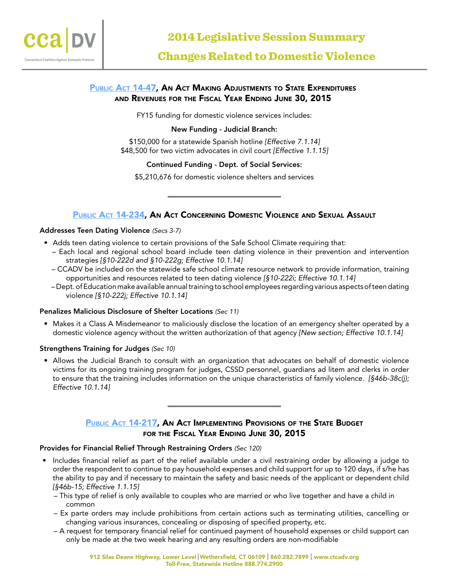

# PUBLIC ACT 14-47, AN ACT MAKING ADJUSTMENTS TO STATE EXPENDITURES and Revenues for the Fiscal Year Ending June 30, 2015

FY15 funding for domestic violence services includes:

## New Funding - Judicial Branch:

\$150,000 for a statewide Spanish hotline *[Effective 7.1.14]* \$48,500 for two victim advocates in civil court *[Effective 1.1.15]*

## Continued Funding - Dept. of Social Services:

\$5,210,676 for domestic violence shelters and services

# [Public Act 14-234](http://www.cga.ct.gov/2014/ACT/pa/pdf/2014PA-00234-R00HB-05593-PA.pdf), An Act Concerning Domestic Violence and Sexual Assault

## Addresses Teen Dating Violence *(Secs 3-7)*

- Adds teen dating violence to certain provisions of the Safe School Climate requiring that:
	- Each local and regional school board include teen dating violence in their prevention and intervention strategies *[§10-222d and §10-222g; Effective 10.1.14]*
	- CCADV be included on the statewide safe school climate resource network to provide information, training opportunities and resources related to teen dating violence *[§10-222i; Effective 10.1.14]*
	- Dept. of Education make available annual training to school employees regarding various aspects of teen dating violence *[§10-222j; Effective 10.1.14]*

## Penalizes Malicious Disclosure of Shelter Locations *(Sec 11)*

• Makes it a Class A Misdemeanor to maliciously disclose the location of an emergency shelter operated by a domestic violence agency without the written authorization of that agency *[New section; Effective 10.1.14]*

## Strengthens Training for Judges *(Sec 10)*

• Allows the Judicial Branch to consult with an organization that advocates on behalf of domestic violence victims for its ongoing training program for judges, CSSD personnel, guardians ad litem and clerks in order to ensure that the training includes information on the unique characteristics of family violence. *[§46b-38c(j); Effective 10.1.14]*

# PUBLIC ACT 14-217, AN ACT IMPLEMENTING PROVISIONS OF THE STATE BUDGET FOR THE FISCAL YEAR ENDING JUNE 30, 2015

## Provides for Financial Relief Through Restraining Orders *(Sec 120)*

- Includes financial relief as part of the relief available under a civil restraining order by allowing a judge to order the respondent to continue to pay household expenses and child support for up to 120 days, if s/he has the ability to pay and if necessary to maintain the safety and basic needs of the applicant or dependent child *[§46b-15; Effective 1.1.15]*
	- This type of relief is only available to couples who are married or who live together and have a child in common
	- Ex parte orders may include prohibitions from certain actions such as terminating utilities, cancelling or changing various insurances, concealing or disposing of specified property, etc.
	- A request for temporary financial relief for continued payment of household expenses or child support can only be made at the two week hearing and any resulting orders are non-modifiable